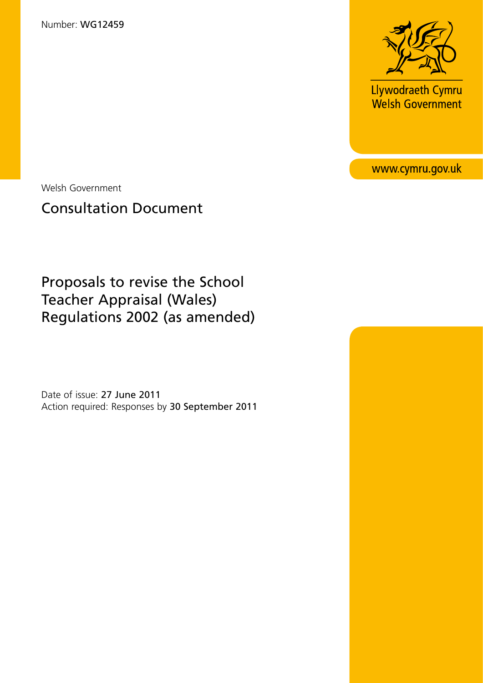Number: WG12459



**Llywodraeth Cymru**<br>Welsh Government

www.cymru.gov.uk

Welsh Government

# Consultation Document

Proposals to revise the School Teacher Appraisal (Wales) Regulations 2002 (as amended)

Date of issue: 27 June 2011 Action required: Responses by 30 September 2011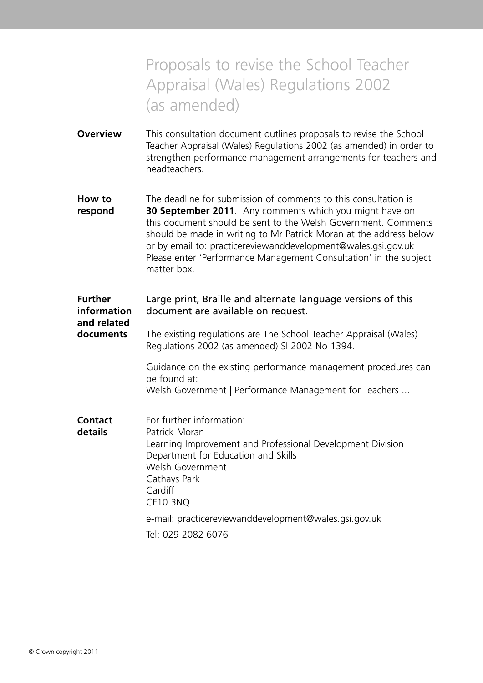# Proposals to revise the School Teacher Appraisal (Wales) Regulations 2002 (as amended)

- **Overview** This consultation document outlines proposals to revise the School Teacher Appraisal (Wales) Regulations 2002 (as amended) in order to strengthen performance management arrangements for teachers and headteachers.
- **How to** The deadline for submission of comments to this consultation is **respond 30 September 2011**. Any comments which you might have on this document should be sent to the Welsh Government. Comments should be made in writing to Mr Patrick Moran at the address below or by email to: practicereviewanddevelopment@wales.gsi.gov.uk Please enter 'Performance Management Consultation' in the subject matter box.

## **Further** Large print, Braille and alternate language versions of this **information** document are available on request. **and related documents** The existing regulations are The School Teacher Appraisal (Wales) Regulations 2002 (as amended) SI 2002 No 1394. Guidance on the existing performance management procedures can be found at: [Welsh Government | Performance Management for Teachers ...](http://wales.gov.uk/topics/educationandskills/publications/guidance/performance-man-for-teachers;jsessionid=2pzYN5yFZC4J3JpDJplpHjLnGy1yh9DhL8QryTqQ9JZJB3PTngp4!912425714?lang=en) **Contact** For further information: **details** Patrick Moran Learning Improvement and Professional Development Division Department for Education and Skills Welsh Government Cathays Park Cardiff CF10 3NQ e-mail: practicereviewanddevelopment@wales.gsi.gov.uk Tel: 029 2082 6076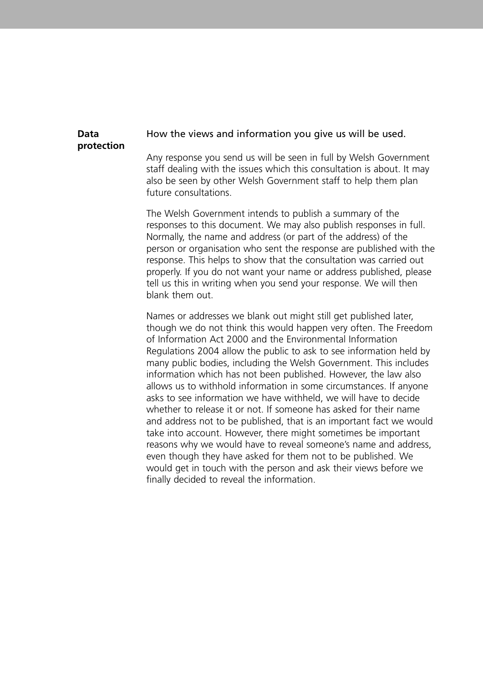# **protection**

#### **Data** How the views and information you give us will be used.

Any response you send us will be seen in full by Welsh Government staff dealing with the issues which this consultation is about. It may also be seen by other Welsh Government staff to help them plan future consultations.

The Welsh Government intends to publish a summary of the responses to this document. We may also publish responses in full. Normally, the name and address (or part of the address) of the person or organisation who sent the response are published with the response. This helps to show that the consultation was carried out properly. If you do not want your name or address published, please tell us this in writing when you send your response. We will then blank them out.

Names or addresses we blank out might still get published later, though we do not think this would happen very often. The Freedom of Information Act 2000 and the Environmental Information Regulations 2004 allow the public to ask to see information held by many public bodies, including the Welsh Government. This includes information which has not been published. However, the law also allows us to withhold information in some circumstances. If anyone asks to see information we have withheld, we will have to decide whether to release it or not. If someone has asked for their name and address not to be published, that is an important fact we would take into account. However, there might sometimes be important reasons why we would have to reveal someone's name and address, even though they have asked for them not to be published. We would get in touch with the person and ask their views before we finally decided to reveal the information.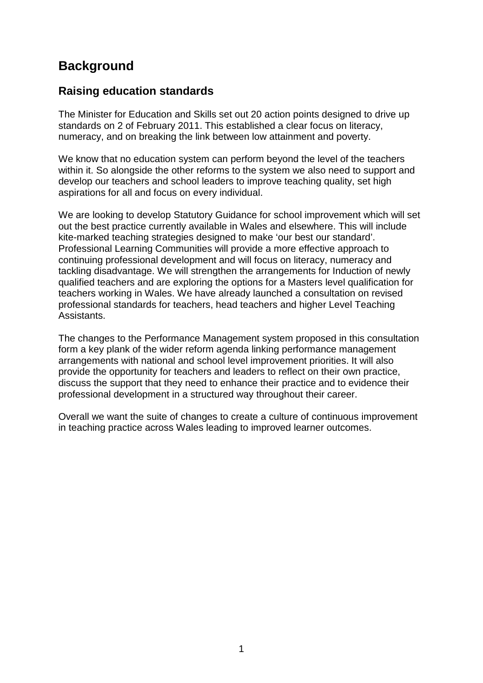# **Background**

## **Raising education standards**

The Minister for Education and Skills set out 20 action points designed to drive up standards on 2 of February 2011. This established a clear focus on literacy, numeracy, and on breaking the link between low attainment and poverty.

We know that no education system can perform beyond the level of the teachers within it. So alongside the other reforms to the system we also need to support and develop our teachers and school leaders to improve teaching quality, set high aspirations for all and focus on every individual.

We are looking to develop Statutory Guidance for school improvement which will set out the best practice currently available in Wales and elsewhere. This will include kite-marked teaching strategies designed to make 'our best our standard'. Professional Learning Communities will provide a more effective approach to continuing professional development and will focus on literacy, numeracy and tackling disadvantage. We will strengthen the arrangements for Induction of newly qualified teachers and are exploring the options for a Masters level qualification for teachers working in Wales. We have already launched a consultation on revised professional standards for teachers, head teachers and higher Level Teaching Assistants.

The changes to the Performance Management system proposed in this consultation form a key plank of the wider reform agenda linking performance management arrangements with national and school level improvement priorities. It will also provide the opportunity for teachers and leaders to reflect on their own practice, discuss the support that they need to enhance their practice and to evidence their professional development in a structured way throughout their career.

Overall we want the suite of changes to create a culture of continuous improvement in teaching practice across Wales leading to improved learner outcomes.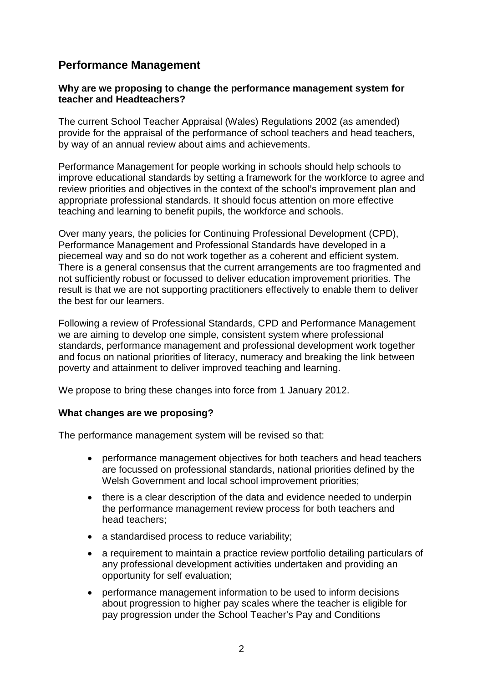## **Performance Management**

#### **Why are we proposing to change the performance management system for teacher and Headteachers?**

The current School Teacher Appraisal (Wales) Regulations 2002 (as amended) provide for the appraisal of the performance of school teachers and head teachers, by way of an annual review about aims and achievements.

Performance Management for people working in schools should help schools to improve educational standards by setting a framework for the workforce to agree and review priorities and objectives in the context of the school's improvement plan and appropriate professional standards. It should focus attention on more effective teaching and learning to benefit pupils, the workforce and schools.

Over many years, the policies for Continuing Professional Development (CPD), Performance Management and Professional Standards have developed in a piecemeal way and so do not work together as a coherent and efficient system. There is a general consensus that the current arrangements are too fragmented and not sufficiently robust or focussed to deliver education improvement priorities. The result is that we are not supporting practitioners effectively to enable them to deliver the best for our learners.

Following a review of Professional Standards, CPD and Performance Management we are aiming to develop one simple, consistent system where professional standards, performance management and professional development work together and focus on national priorities of literacy, numeracy and breaking the link between poverty and attainment to deliver improved teaching and learning.

We propose to bring these changes into force from 1 January 2012.

#### **What changes are we proposing?**

The performance management system will be revised so that:

- performance management objectives for both teachers and head teachers are focussed on professional standards, national priorities defined by the Welsh Government and local school improvement priorities;
- there is a clear description of the data and evidence needed to underpin the performance management review process for both teachers and head teachers;
- a standardised process to reduce variability;
- a requirement to maintain a practice review portfolio detailing particulars of any professional development activities undertaken and providing an opportunity for self evaluation;
- performance management information to be used to inform decisions about progression to higher pay scales where the teacher is eligible for pay progression under the School Teacher's Pay and Conditions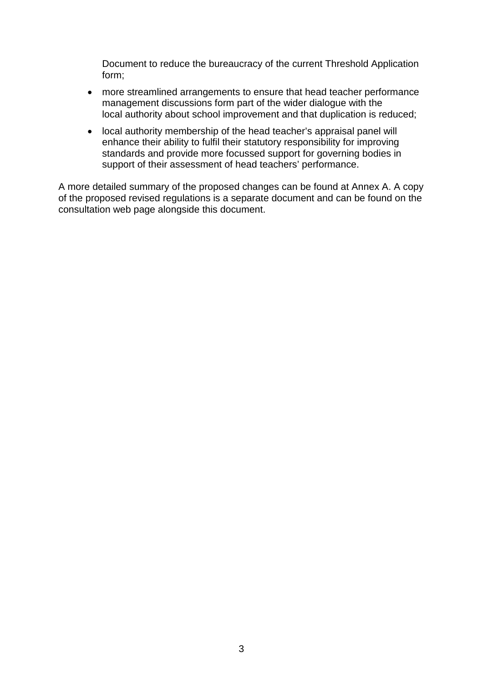Document to reduce the bureaucracy of the current Threshold Application form;

- more streamlined arrangements to ensure that head teacher performance management discussions form part of the wider dialogue with the local authority about school improvement and that duplication is reduced;
- local authority membership of the head teacher's appraisal panel will enhance their ability to fulfil their statutory responsibility for improving standards and provide more focussed support for governing bodies in support of their assessment of head teachers' performance.

A more detailed summary of the proposed changes can be found at Annex A. A copy of the proposed revised regulations is a separate document and can be found on the consultation web page alongside this document.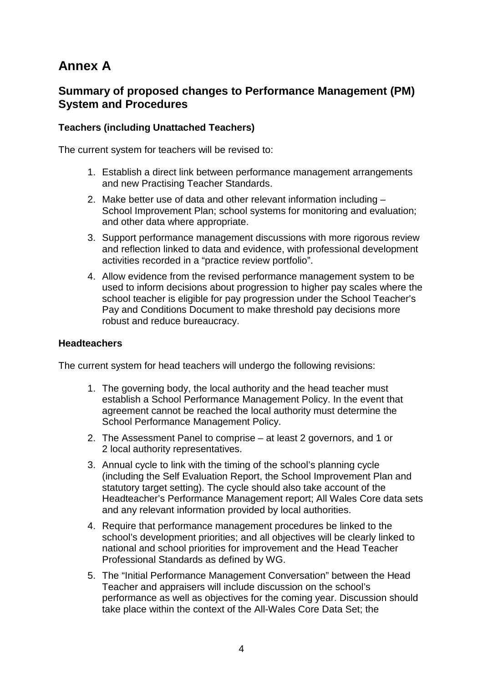# **Annex A**

## **Summary of proposed changes to Performance Management (PM) System and Procedures**

### **Teachers (including Unattached Teachers)**

The current system for teachers will be revised to:

- 1. Establish a direct link between performance management arrangements and new Practising Teacher Standards.
- 2. Make better use of data and other relevant information including School Improvement Plan; school systems for monitoring and evaluation; and other data where appropriate.
- 3. Support performance management discussions with more rigorous review and reflection linked to data and evidence, with professional development activities recorded in a "practice review portfolio".
- 4. Allow evidence from the revised performance management system to be used to inform decisions about progression to higher pay scales where the school teacher is eligible for pay progression under the School Teacher's Pay and Conditions Document to make threshold pay decisions more robust and reduce bureaucracy.

#### **Headteachers**

The current system for head teachers will undergo the following revisions:

- 1. The governing body, the local authority and the head teacher must establish a School Performance Management Policy. In the event that agreement cannot be reached the local authority must determine the School Performance Management Policy.
- 2. The Assessment Panel to comprise at least 2 governors, and 1 or 2 local authority representatives.
- 3. Annual cycle to link with the timing of the school's planning cycle (including the Self Evaluation Report, the School Improvement Plan and statutory target setting). The cycle should also take account of the Headteacher's Performance Management report; All Wales Core data sets and any relevant information provided by local authorities.
- 4. Require that performance management procedures be linked to the school's development priorities; and all objectives will be clearly linked to national and school priorities for improvement and the Head Teacher Professional Standards as defined by WG.
- 5. The "Initial Performance Management Conversation" between the Head Teacher and appraisers will include discussion on the school's performance as well as objectives for the coming year. Discussion should take place within the context of the All-Wales Core Data Set; the